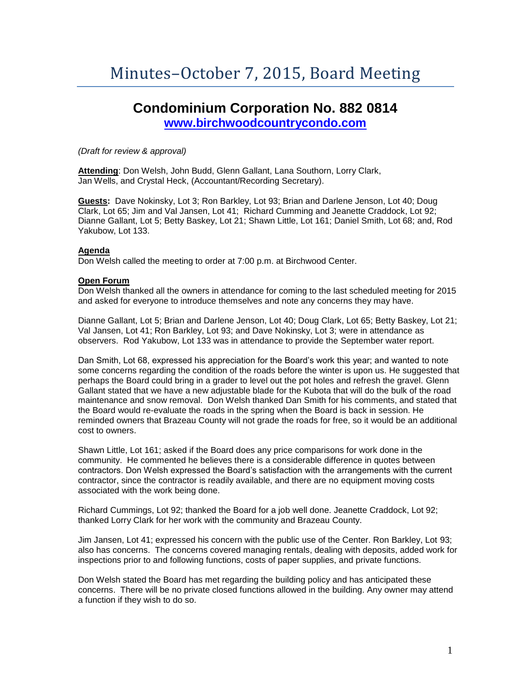# **Condominium Corporation No. 882 0814 [www.birchwoodcountrycondo.com](http://www.birchwoodcountrycondo.com/)**

*(Draft for review & approval)*

**Attending**: Don Welsh, John Budd, Glenn Gallant, Lana Southorn, Lorry Clark, Jan Wells, and Crystal Heck, (Accountant/Recording Secretary).

**Guests:** Dave Nokinsky, Lot 3; Ron Barkley, Lot 93; Brian and Darlene Jenson, Lot 40; Doug Clark, Lot 65; Jim and Val Jansen, Lot 41; Richard Cumming and Jeanette Craddock, Lot 92; Dianne Gallant, Lot 5; Betty Baskey, Lot 21; Shawn Little, Lot 161; Daniel Smith, Lot 68; and, Rod Yakubow, Lot 133.

# **Agenda**

Don Welsh called the meeting to order at 7:00 p.m. at Birchwood Center.

# **Open Forum**

Don Welsh thanked all the owners in attendance for coming to the last scheduled meeting for 2015 and asked for everyone to introduce themselves and note any concerns they may have.

Dianne Gallant, Lot 5; Brian and Darlene Jenson, Lot 40; Doug Clark, Lot 65; Betty Baskey, Lot 21; Val Jansen, Lot 41; Ron Barkley, Lot 93; and Dave Nokinsky, Lot 3; were in attendance as observers. Rod Yakubow, Lot 133 was in attendance to provide the September water report.

Dan Smith, Lot 68, expressed his appreciation for the Board's work this year; and wanted to note some concerns regarding the condition of the roads before the winter is upon us. He suggested that perhaps the Board could bring in a grader to level out the pot holes and refresh the gravel. Glenn Gallant stated that we have a new adjustable blade for the Kubota that will do the bulk of the road maintenance and snow removal. Don Welsh thanked Dan Smith for his comments, and stated that the Board would re-evaluate the roads in the spring when the Board is back in session. He reminded owners that Brazeau County will not grade the roads for free, so it would be an additional cost to owners.

Shawn Little, Lot 161; asked if the Board does any price comparisons for work done in the community. He commented he believes there is a considerable difference in quotes between contractors. Don Welsh expressed the Board's satisfaction with the arrangements with the current contractor, since the contractor is readily available, and there are no equipment moving costs associated with the work being done.

Richard Cummings, Lot 92; thanked the Board for a job well done. Jeanette Craddock, Lot 92; thanked Lorry Clark for her work with the community and Brazeau County.

Jim Jansen, Lot 41; expressed his concern with the public use of the Center. Ron Barkley, Lot 93; also has concerns. The concerns covered managing rentals, dealing with deposits, added work for inspections prior to and following functions, costs of paper supplies, and private functions.

Don Welsh stated the Board has met regarding the building policy and has anticipated these concerns. There will be no private closed functions allowed in the building. Any owner may attend a function if they wish to do so.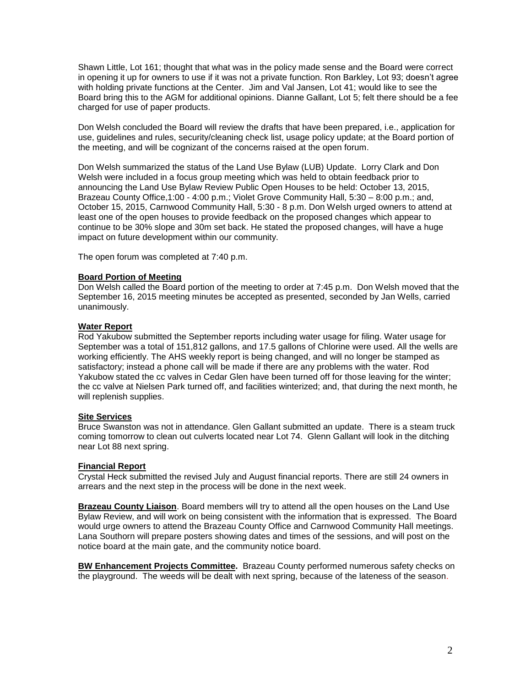Shawn Little, Lot 161; thought that what was in the policy made sense and the Board were correct in opening it up for owners to use if it was not a private function. Ron Barkley, Lot 93; doesn't agree with holding private functions at the Center. Jim and Val Jansen, Lot 41; would like to see the Board bring this to the AGM for additional opinions. Dianne Gallant, Lot 5; felt there should be a fee charged for use of paper products.

Don Welsh concluded the Board will review the drafts that have been prepared, i.e., application for use, guidelines and rules, security/cleaning check list, usage policy update; at the Board portion of the meeting, and will be cognizant of the concerns raised at the open forum.

Don Welsh summarized the status of the Land Use Bylaw (LUB) Update. Lorry Clark and Don Welsh were included in a focus group meeting which was held to obtain feedback prior to announcing the Land Use Bylaw Review Public Open Houses to be held: October 13, 2015, Brazeau County Office,1:00 - 4:00 p.m.; Violet Grove Community Hall, 5:30 – 8:00 p.m.; and, October 15, 2015, Carnwood Community Hall, 5:30 - 8 p.m. Don Welsh urged owners to attend at least one of the open houses to provide feedback on the proposed changes which appear to continue to be 30% slope and 30m set back. He stated the proposed changes, will have a huge impact on future development within our community.

The open forum was completed at 7:40 p.m.

# **Board Portion of Meeting**

Don Welsh called the Board portion of the meeting to order at 7:45 p.m. Don Welsh moved that the September 16, 2015 meeting minutes be accepted as presented, seconded by Jan Wells, carried unanimously.

# **Water Report**

Rod Yakubow submitted the September reports including water usage for filing. Water usage for September was a total of 151,812 gallons, and 17.5 gallons of Chlorine were used. All the wells are working efficiently. The AHS weekly report is being changed, and will no longer be stamped as satisfactory; instead a phone call will be made if there are any problems with the water. Rod Yakubow stated the cc valves in Cedar Glen have been turned off for those leaving for the winter; the cc valve at Nielsen Park turned off, and facilities winterized; and, that during the next month, he will replenish supplies.

#### **Site Services**

Bruce Swanston was not in attendance. Glen Gallant submitted an update. There is a steam truck coming tomorrow to clean out culverts located near Lot 74. Glenn Gallant will look in the ditching near Lot 88 next spring.

#### **Financial Report**

Crystal Heck submitted the revised July and August financial reports. There are still 24 owners in arrears and the next step in the process will be done in the next week.

**Brazeau County Liaison**. Board members will try to attend all the open houses on the Land Use Bylaw Review, and will work on being consistent with the information that is expressed. The Board would urge owners to attend the Brazeau County Office and Carnwood Community Hall meetings. Lana Southorn will prepare posters showing dates and times of the sessions, and will post on the notice board at the main gate, and the community notice board.

**BW Enhancement Projects Committee.** Brazeau County performed numerous safety checks on the playground. The weeds will be dealt with next spring, because of the lateness of the season.